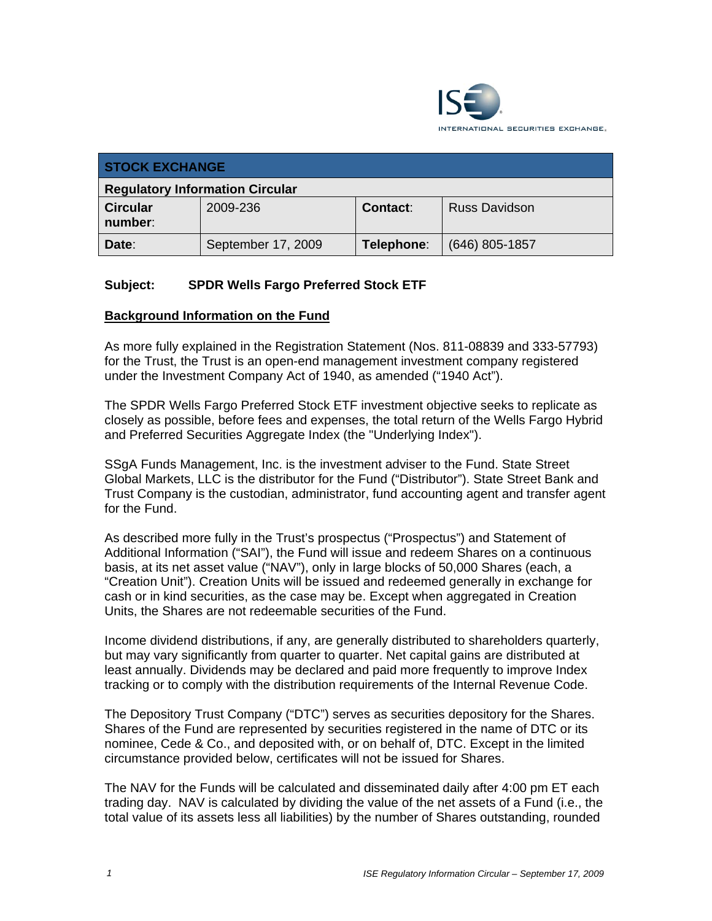

| <b>STOCK EXCHANGE</b>                  |                    |                 |                      |  |  |
|----------------------------------------|--------------------|-----------------|----------------------|--|--|
| <b>Regulatory Information Circular</b> |                    |                 |                      |  |  |
| <b>Circular</b><br>number:             | 2009-236           | <b>Contact:</b> | <b>Russ Davidson</b> |  |  |
| Date:                                  | September 17, 2009 | Telephone:      | $(646)$ 805-1857     |  |  |

# **Subject: SPDR Wells Fargo Preferred Stock ETF**

#### **Background Information on the Fund**

As more fully explained in the Registration Statement (Nos. 811-08839 and 333-57793) for the Trust, the Trust is an open-end management investment company registered under the Investment Company Act of 1940, as amended ("1940 Act").

The SPDR Wells Fargo Preferred Stock ETF investment objective seeks to replicate as closely as possible, before fees and expenses, the total return of the Wells Fargo Hybrid and Preferred Securities Aggregate Index (the "Underlying Index").

SSgA Funds Management, Inc. is the investment adviser to the Fund. State Street Global Markets, LLC is the distributor for the Fund ("Distributor"). State Street Bank and Trust Company is the custodian, administrator, fund accounting agent and transfer agent for the Fund.

As described more fully in the Trust's prospectus ("Prospectus") and Statement of Additional Information ("SAI"), the Fund will issue and redeem Shares on a continuous basis, at its net asset value ("NAV"), only in large blocks of 50,000 Shares (each, a "Creation Unit"). Creation Units will be issued and redeemed generally in exchange for cash or in kind securities, as the case may be. Except when aggregated in Creation Units, the Shares are not redeemable securities of the Fund.

Income dividend distributions, if any, are generally distributed to shareholders quarterly, but may vary significantly from quarter to quarter. Net capital gains are distributed at least annually. Dividends may be declared and paid more frequently to improve Index tracking or to comply with the distribution requirements of the Internal Revenue Code.

The Depository Trust Company ("DTC") serves as securities depository for the Shares. Shares of the Fund are represented by securities registered in the name of DTC or its nominee, Cede & Co., and deposited with, or on behalf of, DTC. Except in the limited circumstance provided below, certificates will not be issued for Shares.

The NAV for the Funds will be calculated and disseminated daily after 4:00 pm ET each trading day. NAV is calculated by dividing the value of the net assets of a Fund (i.e., the total value of its assets less all liabilities) by the number of Shares outstanding, rounded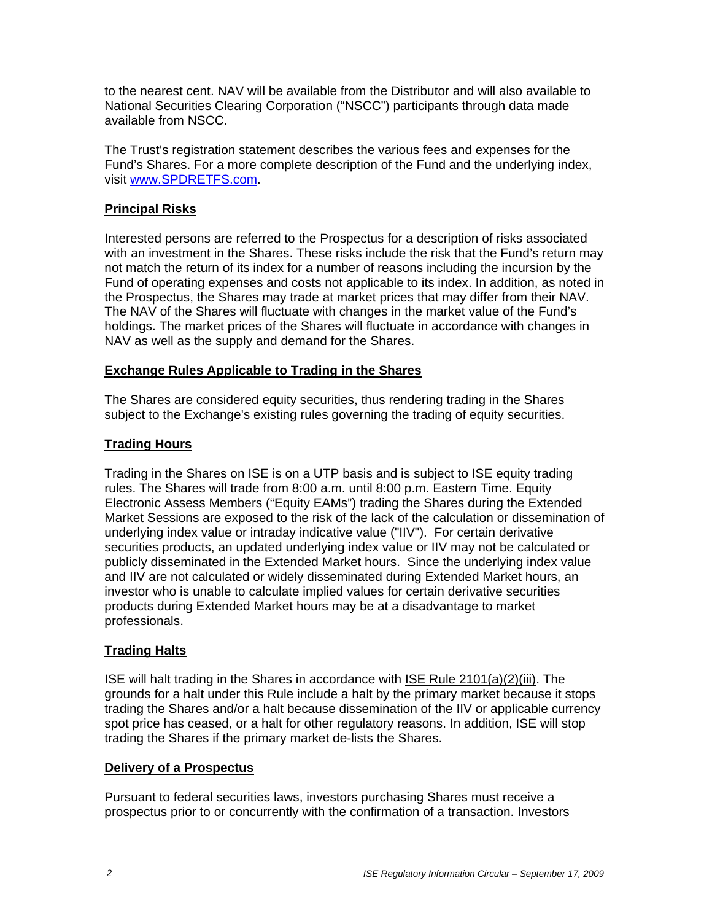to the nearest cent. NAV will be available from the Distributor and will also available to National Securities Clearing Corporation ("NSCC") participants through data made available from NSCC.

The Trust's registration statement describes the various fees and expenses for the Fund's Shares. For a more complete description of the Fund and the underlying index, visit www.SPDRETFS.com.

# **Principal Risks**

Interested persons are referred to the Prospectus for a description of risks associated with an investment in the Shares. These risks include the risk that the Fund's return may not match the return of its index for a number of reasons including the incursion by the Fund of operating expenses and costs not applicable to its index. In addition, as noted in the Prospectus, the Shares may trade at market prices that may differ from their NAV. The NAV of the Shares will fluctuate with changes in the market value of the Fund's holdings. The market prices of the Shares will fluctuate in accordance with changes in NAV as well as the supply and demand for the Shares.

#### **Exchange Rules Applicable to Trading in the Shares**

The Shares are considered equity securities, thus rendering trading in the Shares subject to the Exchange's existing rules governing the trading of equity securities.

# **Trading Hours**

Trading in the Shares on ISE is on a UTP basis and is subject to ISE equity trading rules. The Shares will trade from 8:00 a.m. until 8:00 p.m. Eastern Time. Equity Electronic Assess Members ("Equity EAMs") trading the Shares during the Extended Market Sessions are exposed to the risk of the lack of the calculation or dissemination of underlying index value or intraday indicative value ("IIV"). For certain derivative securities products, an updated underlying index value or IIV may not be calculated or publicly disseminated in the Extended Market hours. Since the underlying index value and IIV are not calculated or widely disseminated during Extended Market hours, an investor who is unable to calculate implied values for certain derivative securities products during Extended Market hours may be at a disadvantage to market professionals.

# **Trading Halts**

ISE will halt trading in the Shares in accordance with ISE Rule 2101(a)(2)(iii). The grounds for a halt under this Rule include a halt by the primary market because it stops trading the Shares and/or a halt because dissemination of the IIV or applicable currency spot price has ceased, or a halt for other regulatory reasons. In addition, ISE will stop trading the Shares if the primary market de-lists the Shares.

#### **Delivery of a Prospectus**

Pursuant to federal securities laws, investors purchasing Shares must receive a prospectus prior to or concurrently with the confirmation of a transaction. Investors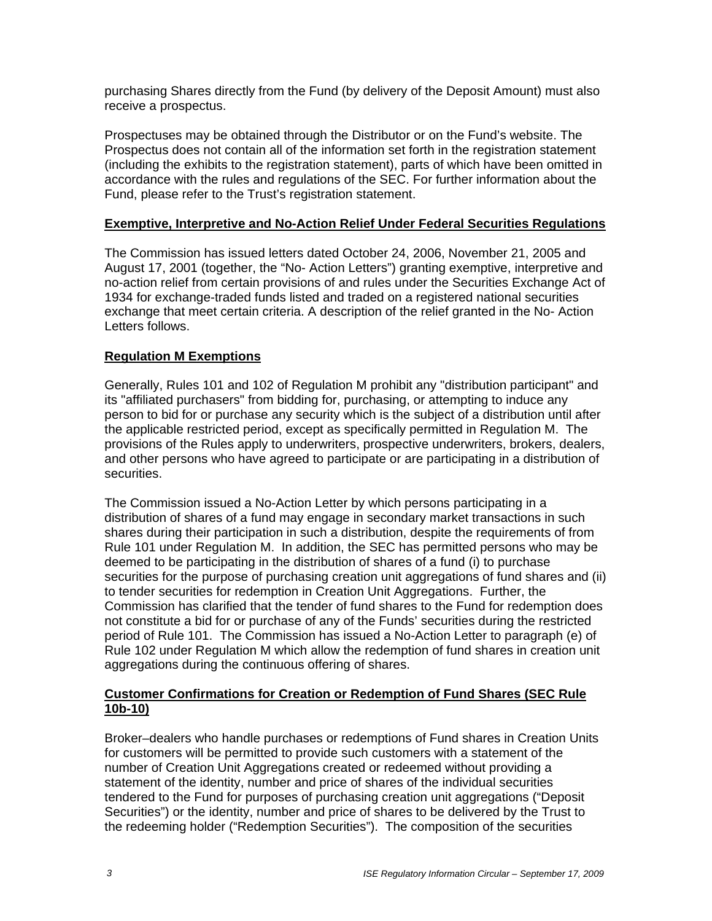purchasing Shares directly from the Fund (by delivery of the Deposit Amount) must also receive a prospectus.

Prospectuses may be obtained through the Distributor or on the Fund's website. The Prospectus does not contain all of the information set forth in the registration statement (including the exhibits to the registration statement), parts of which have been omitted in accordance with the rules and regulations of the SEC. For further information about the Fund, please refer to the Trust's registration statement.

### **Exemptive, Interpretive and No-Action Relief Under Federal Securities Regulations**

The Commission has issued letters dated October 24, 2006, November 21, 2005 and August 17, 2001 (together, the "No- Action Letters") granting exemptive, interpretive and no-action relief from certain provisions of and rules under the Securities Exchange Act of 1934 for exchange-traded funds listed and traded on a registered national securities exchange that meet certain criteria. A description of the relief granted in the No- Action Letters follows.

# **Regulation M Exemptions**

Generally, Rules 101 and 102 of Regulation M prohibit any "distribution participant" and its "affiliated purchasers" from bidding for, purchasing, or attempting to induce any person to bid for or purchase any security which is the subject of a distribution until after the applicable restricted period, except as specifically permitted in Regulation M. The provisions of the Rules apply to underwriters, prospective underwriters, brokers, dealers, and other persons who have agreed to participate or are participating in a distribution of securities.

The Commission issued a No-Action Letter by which persons participating in a distribution of shares of a fund may engage in secondary market transactions in such shares during their participation in such a distribution, despite the requirements of from Rule 101 under Regulation M. In addition, the SEC has permitted persons who may be deemed to be participating in the distribution of shares of a fund (i) to purchase securities for the purpose of purchasing creation unit aggregations of fund shares and (ii) to tender securities for redemption in Creation Unit Aggregations. Further, the Commission has clarified that the tender of fund shares to the Fund for redemption does not constitute a bid for or purchase of any of the Funds' securities during the restricted period of Rule 101. The Commission has issued a No-Action Letter to paragraph (e) of Rule 102 under Regulation M which allow the redemption of fund shares in creation unit aggregations during the continuous offering of shares.

#### **Customer Confirmations for Creation or Redemption of Fund Shares (SEC Rule 10b-10)**

Broker–dealers who handle purchases or redemptions of Fund shares in Creation Units for customers will be permitted to provide such customers with a statement of the number of Creation Unit Aggregations created or redeemed without providing a statement of the identity, number and price of shares of the individual securities tendered to the Fund for purposes of purchasing creation unit aggregations ("Deposit Securities") or the identity, number and price of shares to be delivered by the Trust to the redeeming holder ("Redemption Securities"). The composition of the securities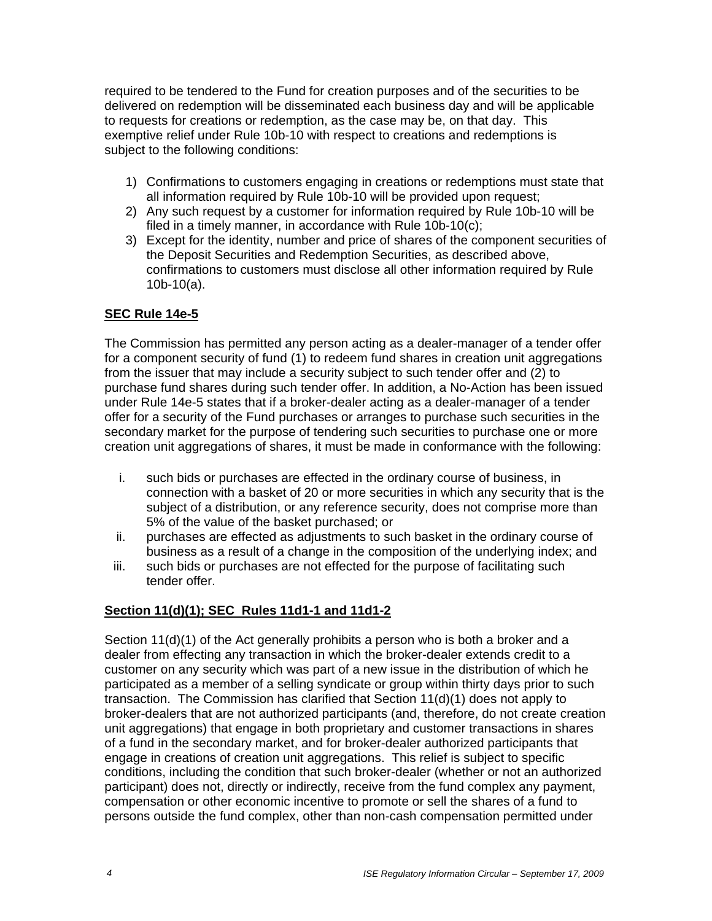required to be tendered to the Fund for creation purposes and of the securities to be delivered on redemption will be disseminated each business day and will be applicable to requests for creations or redemption, as the case may be, on that day. This exemptive relief under Rule 10b-10 with respect to creations and redemptions is subject to the following conditions:

- 1) Confirmations to customers engaging in creations or redemptions must state that all information required by Rule 10b-10 will be provided upon request;
- 2) Any such request by a customer for information required by Rule 10b-10 will be filed in a timely manner, in accordance with Rule 10b-10(c);
- 3) Except for the identity, number and price of shares of the component securities of the Deposit Securities and Redemption Securities, as described above, confirmations to customers must disclose all other information required by Rule 10b-10(a).

# **SEC Rule 14e-5**

The Commission has permitted any person acting as a dealer-manager of a tender offer for a component security of fund (1) to redeem fund shares in creation unit aggregations from the issuer that may include a security subject to such tender offer and (2) to purchase fund shares during such tender offer. In addition, a No-Action has been issued under Rule 14e-5 states that if a broker-dealer acting as a dealer-manager of a tender offer for a security of the Fund purchases or arranges to purchase such securities in the secondary market for the purpose of tendering such securities to purchase one or more creation unit aggregations of shares, it must be made in conformance with the following:

- i. such bids or purchases are effected in the ordinary course of business, in connection with a basket of 20 or more securities in which any security that is the subject of a distribution, or any reference security, does not comprise more than 5% of the value of the basket purchased; or
- ii. purchases are effected as adjustments to such basket in the ordinary course of business as a result of a change in the composition of the underlying index; and
- iii. such bids or purchases are not effected for the purpose of facilitating such tender offer.

# **Section 11(d)(1); SEC Rules 11d1-1 and 11d1-2**

Section 11(d)(1) of the Act generally prohibits a person who is both a broker and a dealer from effecting any transaction in which the broker-dealer extends credit to a customer on any security which was part of a new issue in the distribution of which he participated as a member of a selling syndicate or group within thirty days prior to such transaction. The Commission has clarified that Section 11(d)(1) does not apply to broker-dealers that are not authorized participants (and, therefore, do not create creation unit aggregations) that engage in both proprietary and customer transactions in shares of a fund in the secondary market, and for broker-dealer authorized participants that engage in creations of creation unit aggregations. This relief is subject to specific conditions, including the condition that such broker-dealer (whether or not an authorized participant) does not, directly or indirectly, receive from the fund complex any payment, compensation or other economic incentive to promote or sell the shares of a fund to persons outside the fund complex, other than non-cash compensation permitted under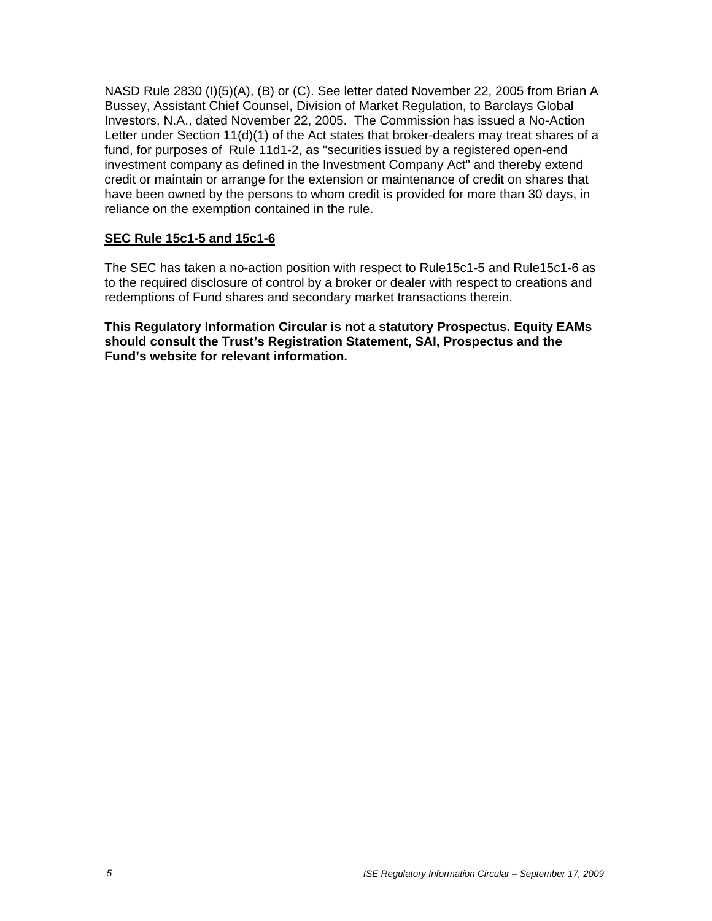NASD Rule 2830 (I)(5)(A), (B) or (C). See letter dated November 22, 2005 from Brian A Bussey, Assistant Chief Counsel, Division of Market Regulation, to Barclays Global Investors, N.A., dated November 22, 2005. The Commission has issued a No-Action Letter under Section 11(d)(1) of the Act states that broker-dealers may treat shares of a fund, for purposes of Rule 11d1-2, as "securities issued by a registered open-end investment company as defined in the Investment Company Act" and thereby extend credit or maintain or arrange for the extension or maintenance of credit on shares that have been owned by the persons to whom credit is provided for more than 30 days, in reliance on the exemption contained in the rule.

#### **SEC Rule 15c1-5 and 15c1-6**

The SEC has taken a no-action position with respect to Rule15c1-5 and Rule15c1-6 as to the required disclosure of control by a broker or dealer with respect to creations and redemptions of Fund shares and secondary market transactions therein.

**This Regulatory Information Circular is not a statutory Prospectus. Equity EAMs should consult the Trust's Registration Statement, SAI, Prospectus and the Fund's website for relevant information.**